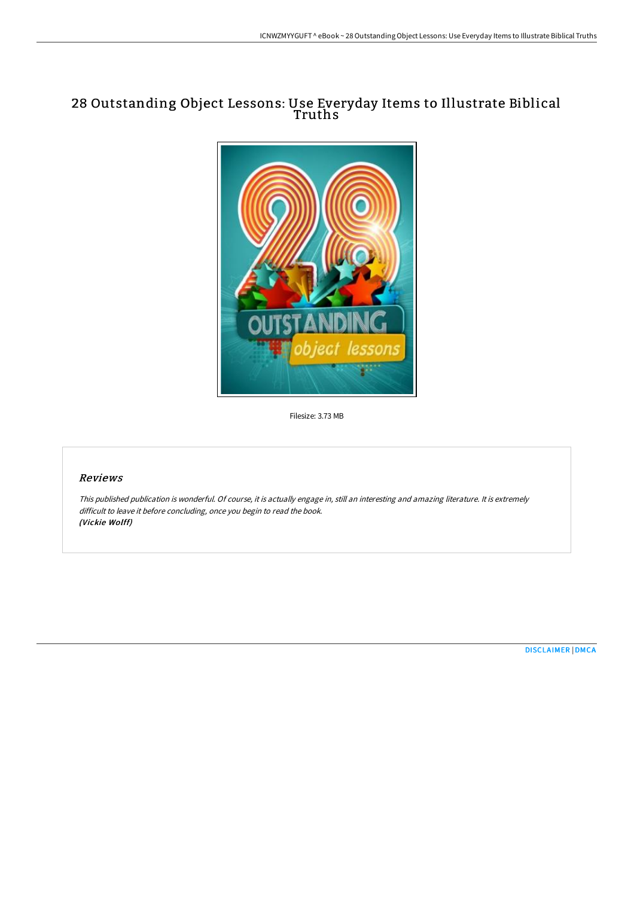## 28 Outstanding Object Lessons: Use Everyday Items to Illustrate Biblical Truths



Filesize: 3.73 MB

## Reviews

This published publication is wonderful. Of course, it is actually engage in, still an interesting and amazing literature. It is extremely difficult to leave it before concluding, once you begin to read the book. (Vickie Wolff)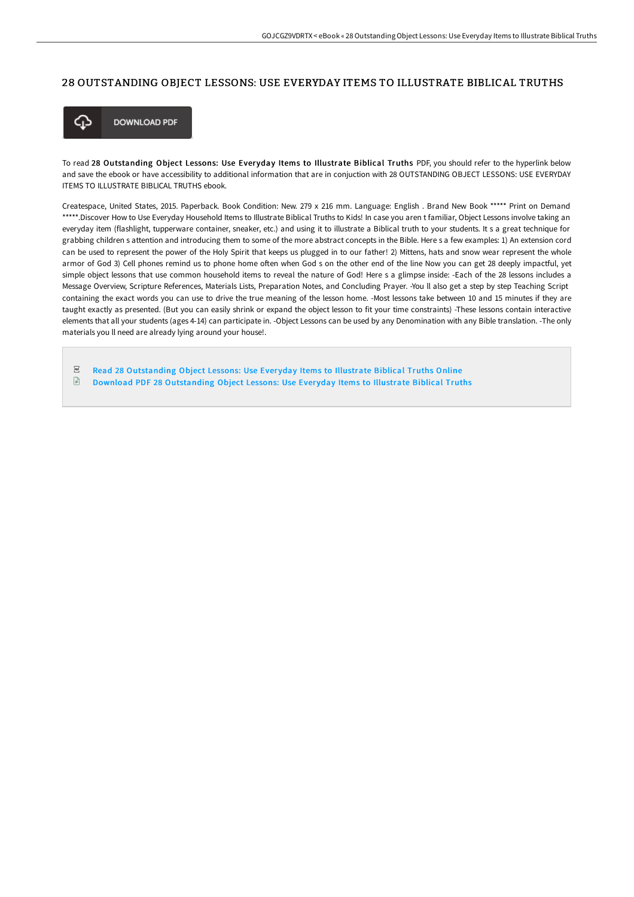## 28 OUTSTANDING OBJECT LESSONS: USE EVERYDAY ITEMS TO ILLUSTRATE BIBLICAL TRUTHS



**DOWNLOAD PDF** 

To read 28 Outstanding Object Lessons: Use Everyday Items to Illustrate Biblical Truths PDF, you should refer to the hyperlink below and save the ebook or have accessibility to additional information that are in conjuction with 28 OUTSTANDING OBJECT LESSONS: USE EVERYDAY ITEMS TO ILLUSTRATE BIBLICAL TRUTHS ebook.

Createspace, United States, 2015. Paperback. Book Condition: New. 279 x 216 mm. Language: English . Brand New Book \*\*\*\*\* Print on Demand \*\*\*\*\*.Discover How to Use Everyday Household Items to Illustrate Biblical Truths to Kids! In case you aren t familiar, Object Lessons involve taking an everyday item (flashlight, tupperware container, sneaker, etc.) and using it to illustrate a Biblical truth to your students. It s a great technique for grabbing children s attention and introducing them to some of the more abstract concepts in the Bible. Here s a few examples: 1) An extension cord can be used to represent the power of the Holy Spirit that keeps us plugged in to our father! 2) Mittens, hats and snow wear represent the whole armor of God 3) Cell phones remind us to phone home often when God s on the other end of the line Now you can get 28 deeply impactful, yet simple object lessons that use common household items to reveal the nature of God! Here s a glimpse inside: -Each of the 28 lessons includes a Message Overview, Scripture References, Materials Lists, Preparation Notes, and Concluding Prayer. -You ll also get a step by step Teaching Script containing the exact words you can use to drive the true meaning of the lesson home. -Most lessons take between 10 and 15 minutes if they are taught exactly as presented. (But you can easily shrink or expand the object lesson to fit your time constraints) -These lessons contain interactive elements that all your students (ages 4-14) can participate in. -Object Lessons can be used by any Denomination with any Bible translation. -The only materials you ll need are already lying around your house!.

 $PDF$ Read 28 [Outstanding](http://albedo.media/28-outstanding-object-lessons-use-everyday-items.html) Object Lessons: Use Ever yday Items to Illustrate Biblical Truths Online  $\mathbf{E}$ Download PDF 28 [Outstanding](http://albedo.media/28-outstanding-object-lessons-use-everyday-items.html) Object Lessons: Use Everyday Items to Illustrate Biblical Truths